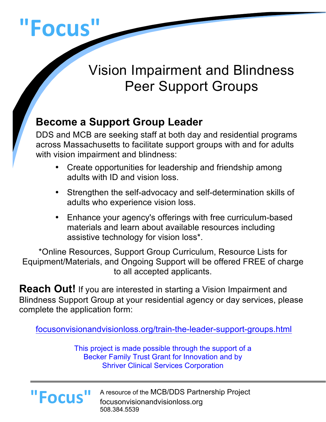

# Vision Impairment and Blindness Peer Support Groups

## **Become a Support Group Leader**

DDS and MCB are seeking staff at both day and residential programs across Massachusetts to facilitate support groups with and for adults with vision impairment and blindness:

- Create opportunities for leadership and friendship among adults with ID and vision loss.
- Strengthen the self-advocacy and self-determination skills of adults who experience vision loss.
- Enhance your agency's offerings with free curriculum-based materials and learn about available resources including assistive technology for vision loss\*.

\*Online Resources, Support Group Curriculum, Resource Lists for Equipment/Materials, and Ongoing Support will be offered FREE of charge to all accepted applicants.

**Reach Out!** If you are interested in starting a Vision Impairment and Blindness Support Group at your residential agency or day services, please complete the application form:

focusonvisionandvisionloss.org/train-the-leader-support-groups.html

This project is made possible through the support of a Becker Family Trust Grant for Innovation and by Shriver Clinical Services Corporation